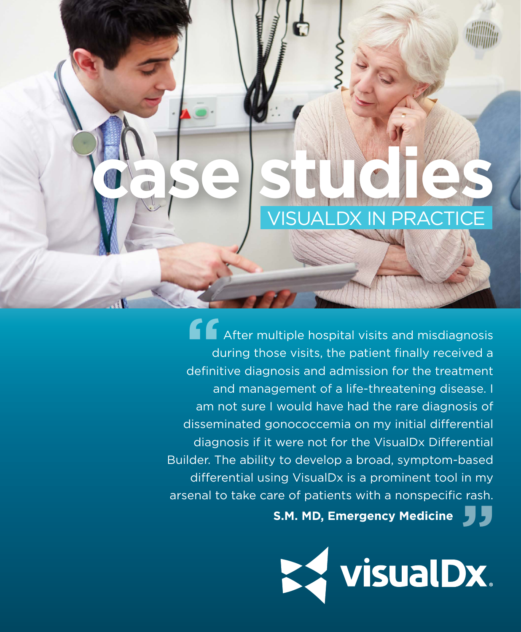

**f**<br> **f**<br> **durin**<br> **definitive** After multiple hospital visits and misdiagnosis during those visits, the patient finally received a definitive diagnosis and admission for the treatment and management of a life-threatening disease. I am not sure I would have had the rare diagnosis of disseminated gonococcemia on my initial differential diagnosis if it were not for the VisualDx Differential Builder. The ability to develop a broad, symptom-based differential using VisualDx is a prominent tool in my arsenal to take care of patients with a nonspecific rash.

**S.M. MD, Emergency Medicine**

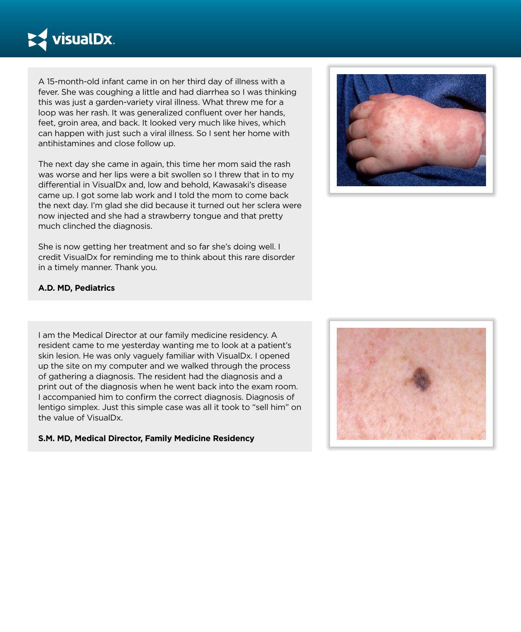

A 15-month-old infant came in on her third day of illness with a fever. She was coughing a little and had diarrhea so I was thinking this was just a garden-variety viral illness. What threw me for a loop was her rash. It was generalized confluent over her hands, feet, groin area, and back. It looked very much like hives, which can happen with just such a viral illness. So I sent her home with antihistamines and close follow up.

The next day she came in again, this time her mom said the rash was worse and her lips were a bit swollen so I threw that in to my differential in VisualDx and, low and behold, Kawasaki's disease came up. I got some lab work and I told the mom to come back the next day. I'm glad she did because it turned out her sclera were now injected and she had a strawberry tongue and that pretty much clinched the diagnosis.

She is now getting her treatment and so far she's doing well. I credit VisualDx for reminding me to think about this rare disorder in a timely manner. Thank you.



# **A.D. MD, Pediatrics**

I am the Medical Director at our family medicine residency. A resident came to me yesterday wanting me to look at a patient's skin lesion. He was only vaguely familiar with VisualDx. I opened up the site on my computer and we walked through the process of gathering a diagnosis. The resident had the diagnosis and a print out of the diagnosis when he went back into the exam room. I accompanied him to confirm the correct diagnosis. Diagnosis of lentigo simplex. Just this simple case was all it took to "sell him" on the value of VisualDx.

#### **S.M. MD, Medical Director, Family Medicine Residency**

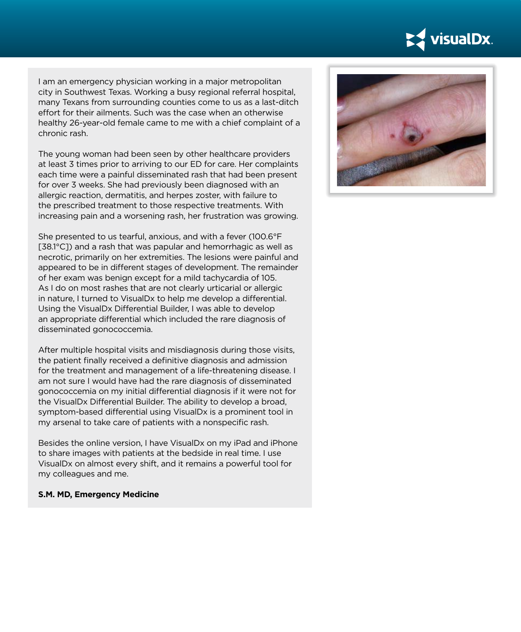

I am an emergency physician working in a major metropolitan city in Southwest Texas. Working a busy regional referral hospital, many Texans from surrounding counties come to us as a last-ditch effort for their ailments. Such was the case when an otherwise healthy 26-year-old female came to me with a chief complaint of a chronic rash.

The young woman had been seen by other healthcare providers at least 3 times prior to arriving to our ED for care. Her complaints each time were a painful disseminated rash that had been present for over 3 weeks. She had previously been diagnosed with an allergic reaction, dermatitis, and herpes zoster, with failure to the prescribed treatment to those respective treatments. With increasing pain and a worsening rash, her frustration was growing.

She presented to us tearful, anxious, and with a fever (100.6°F [38.1°C]) and a rash that was papular and hemorrhagic as well as necrotic, primarily on her extremities. The lesions were painful and appeared to be in different stages of development. The remainder of her exam was benign except for a mild tachycardia of 105. As I do on most rashes that are not clearly urticarial or allergic in nature, I turned to VisualDx to help me develop a differential. Using the VisualDx Differential Builder, I was able to develop an appropriate differential which included the rare diagnosis of disseminated gonococcemia.

After multiple hospital visits and misdiagnosis during those visits, the patient finally received a definitive diagnosis and admission for the treatment and management of a life-threatening disease. I am not sure I would have had the rare diagnosis of disseminated gonococcemia on my initial differential diagnosis if it were not for the VisualDx Differential Builder. The ability to develop a broad, symptom-based differential using VisualDx is a prominent tool in my arsenal to take care of patients with a nonspecific rash.

Besides the online version, I have VisualDx on my iPad and iPhone to share images with patients at the bedside in real time. I use VisualDx on almost every shift, and it remains a powerful tool for my colleagues and me.

#### **S.M. MD, Emergency Medicine**

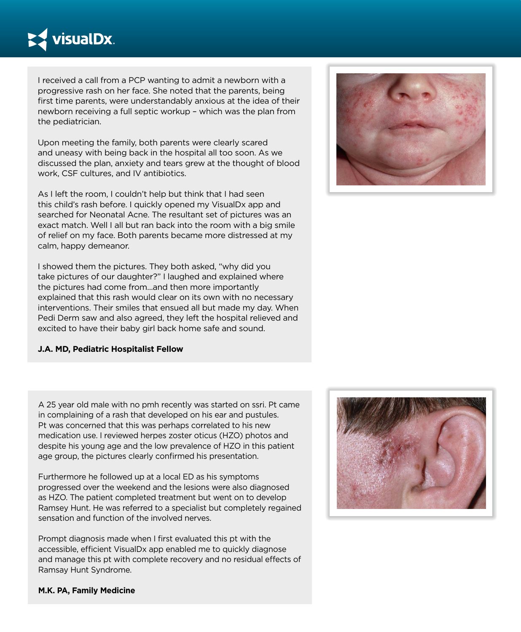

I received a call from a PCP wanting to admit a newborn with a progressive rash on her face. She noted that the parents, being first time parents, were understandably anxious at the idea of their newborn receiving a full septic workup – which was the plan from the pediatrician.

Upon meeting the family, both parents were clearly scared and uneasy with being back in the hospital all too soon. As we discussed the plan, anxiety and tears grew at the thought of blood work, CSF cultures, and IV antibiotics.

As I left the room, I couldn't help but think that I had seen this child's rash before. I quickly opened my VisualDx app and searched for Neonatal Acne. The resultant set of pictures was an exact match. Well I all but ran back into the room with a big smile of relief on my face. Both parents became more distressed at my calm, happy demeanor.

I showed them the pictures. They both asked, "why did you take pictures of our daughter?" I laughed and explained where the pictures had come from...and then more importantly explained that this rash would clear on its own with no necessary interventions. Their smiles that ensued all but made my day. When Pedi Derm saw and also agreed, they left the hospital relieved and excited to have their baby girl back home safe and sound.

## **J.A. MD, Pediatric Hospitalist Fellow**



A 25 year old male with no pmh recently was started on ssri. Pt came in complaining of a rash that developed on his ear and pustules. Pt was concerned that this was perhaps correlated to his new medication use. I reviewed herpes zoster oticus (HZO) photos and despite his young age and the low prevalence of HZO in this patient age group, the pictures clearly confirmed his presentation.

Furthermore he followed up at a local ED as his symptoms progressed over the weekend and the lesions were also diagnosed as HZO. The patient completed treatment but went on to develop Ramsey Hunt. He was referred to a specialist but completely regained sensation and function of the involved nerves.

Prompt diagnosis made when I first evaluated this pt with the accessible, efficient VisualDx app enabled me to quickly diagnose and manage this pt with complete recovery and no residual effects of Ramsay Hunt Syndrome.



**M.K. PA, Family Medicine**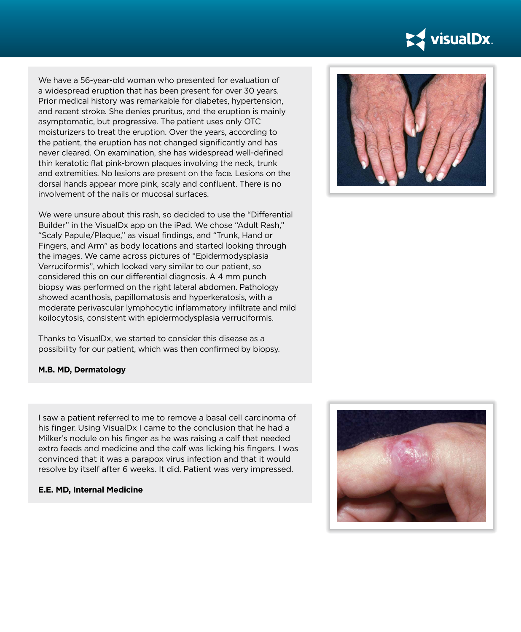

We have a 56-year-old woman who presented for evaluation of a widespread eruption that has been present for over 30 years. Prior medical history was remarkable for diabetes, hypertension, and recent stroke. She denies pruritus, and the eruption is mainly asymptomatic, but progressive. The patient uses only OTC moisturizers to treat the eruption. Over the years, according to the patient, the eruption has not changed significantly and has never cleared. On examination, she has widespread well-defined thin keratotic flat pink-brown plaques involving the neck, trunk and extremities. No lesions are present on the face. Lesions on the dorsal hands appear more pink, scaly and confluent. There is no involvement of the nails or mucosal surfaces.

We were unsure about this rash, so decided to use the "Differential Builder" in the VisualDx app on the iPad. We chose "Adult Rash," "Scaly Papule/Plaque," as visual findings, and "Trunk, Hand or Fingers, and Arm" as body locations and started looking through the images. We came across pictures of "Epidermodysplasia Verruciformis", which looked very similar to our patient, so considered this on our differential diagnosis. A 4 mm punch biopsy was performed on the right lateral abdomen. Pathology showed acanthosis, papillomatosis and hyperkeratosis, with a moderate perivascular lymphocytic inflammatory infiltrate and mild koilocytosis, consistent with epidermodysplasia verruciformis.

Thanks to VisualDx, we started to consider this disease as a possibility for our patient, which was then confirmed by biopsy.

## **M.B. MD, Dermatology**

I saw a patient referred to me to remove a basal cell carcinoma of his finger. Using VisualDx I came to the conclusion that he had a Milker's nodule on his finger as he was raising a calf that needed extra feeds and medicine and the calf was licking his fingers. I was convinced that it was a parapox virus infection and that it would resolve by itself after 6 weeks. It did. Patient was very impressed.

## **E.E. MD, Internal Medicine**